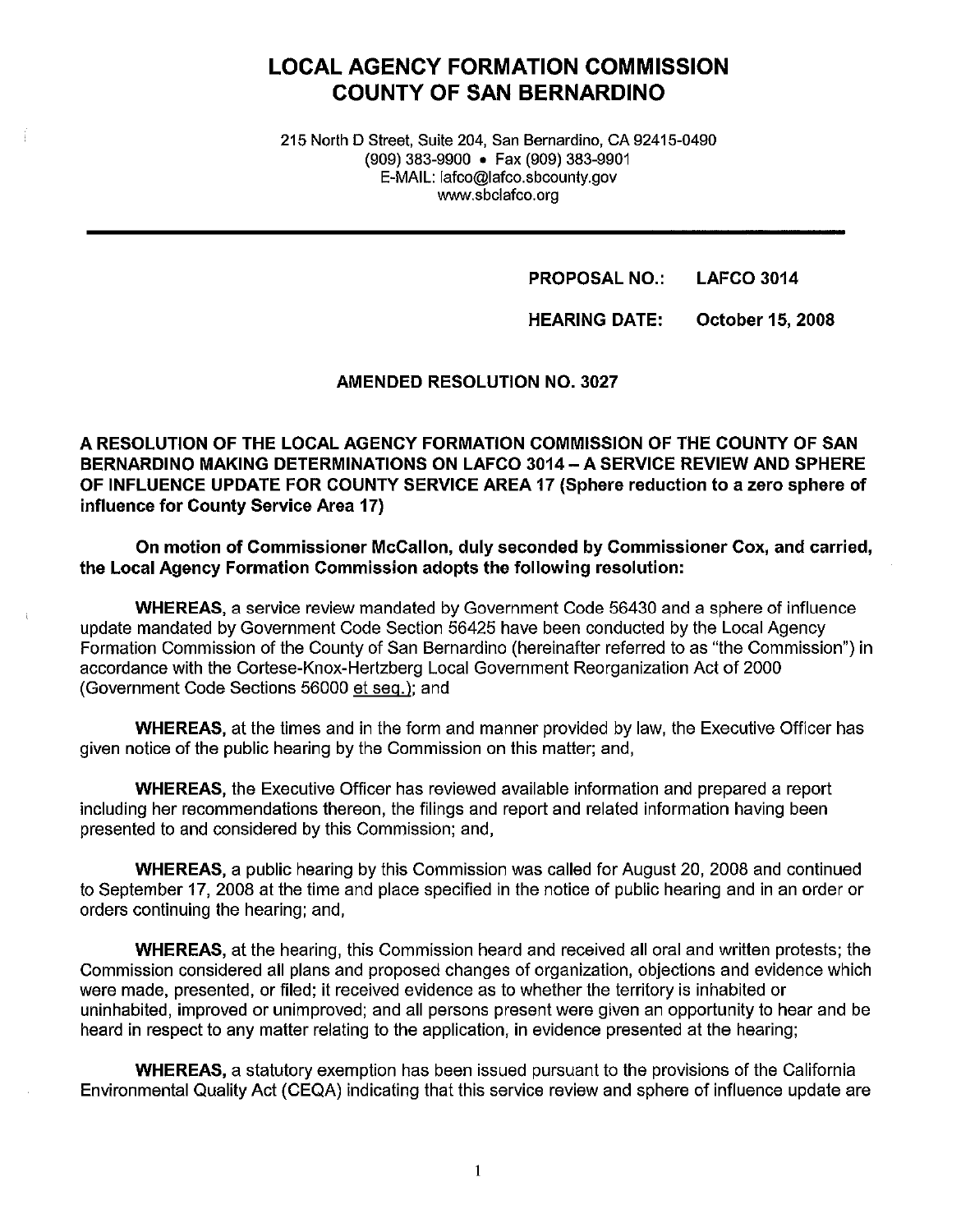# **LOCAL AGENCY FORMATION COMMISSION COUNTY OF SAN BERNARDINO**

215 North D Street, Suite 204, San Bernardino, CA 92415-0490 (909) 383-9900 • Fax (909) 383-9901 E-MAIL: lafco@lafco.sbcounty.gov www.sbclafco.org

> **PROPOSAL NO.: LAFCO 3014**

**HEARING DATE: October 15, 2008** 

**AMENDED RESOLUTION NO. 3027** 

**A RESOLUTION OF THE LOCAL AGENCY FORMATION COMMISSION OF THE COUNTY OF SAN BERNARDINO MAKING DETERMINATIONS ON LAFCO 3014-A SERVICE REVIEW AND SPHERE OF INFLUENCE UPDATE FOR COUNTY SERVICE AREA 17 (Sphere reduction to a zero sphere of influence for County Service Area 17)** 

**On motion of Commissioner McCallon, duly seconded by Commissioner Cox, and carried, the Local Agency Formation Commission adopts the following resolution:** 

**WHEREAS,** a service review mandated by Government Code 56430 and a sphere of influence update mandated by Government Code Section 56425 have been conducted by the Local Agency Formation Commission of the County of San Bernardino (hereinafter referred to as "the Commission") in accordance with the Cortese-Knox-Hertzberg Local Government Reorganization Act of 2000 (Government Code Sections 56000 et seq.); and

**WHEREAS,** at the times and in the form and manner provided by law, the Executive Officer has given notice of the public hearing by the Commission on this matter; and,

**WHEREAS,** the Executive Officer has reviewed available information and prepared a report including her recommendations thereon, the filings and report and related information having been presented to and considered by this Commission; and,

**WHEREAS,** a public hearing by this Commission was called for August 20, 2008 and continued to September 17, 2008 at the time and place specified in the notice of public hearing and in an order or orders continuing the hearing; and,

**WHEREAS,** at the hearing, this Commission heard and received all oral and written protests; the Commission considered all plans and proposed changes of organization, objections and evidence which were made, presented, or filed; it received evidence as to whether the territory is inhabited or uninhabited, improved or unimproved; and all persons present were given an opportunity to hear and be heard in respect to any matter relating to the application, in evidence presented at the hearing;

**WHEREAS,** a statutory exemption has been issued pursuant to the provisions of the California Environmental Quality Act (CEQA) indicating that this service review and sphere of influence update are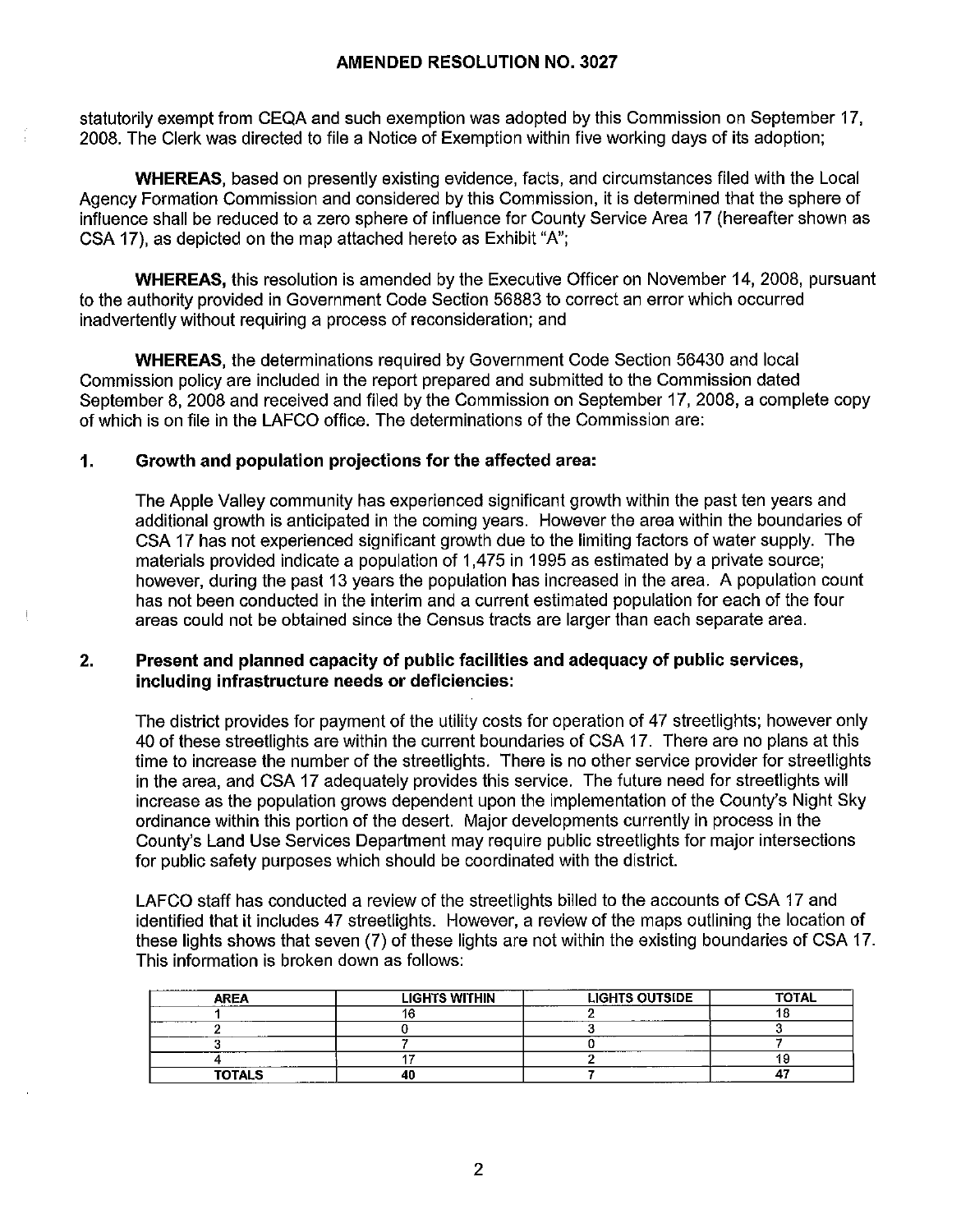statutorily exempt from CEQA and such exemption was adopted by this Commission on September 17, 2008. The Clerk was directed to file a Notice of Exemption within five working days of its adoption;

**WHEREAS,** based on presently existing evidence, facts, and circumstances filed with the Local Agency Formation Commission and considered by this Commission, it is determined that the sphere of influence shall be reduced to a zero sphere of influence for County Service Area 17 (hereafter shown as CSA 17), as depicted on the map attached hereto as Exhibit "A";

**WHEREAS,** this resolution is amended by the Executive Officer on November 14, 2008, pursuant to the authority provided in Government Code Section 56883 to correct an error which occurred inadvertently without requiring a process of reconsideration; and

**WHEREAS,** the determinations required by Government Code Section 56430 and local Commission policy are included in the report prepared and submitted to the Commission dated September 8, 2008 and received and filed by the Commission on September 17, 2008, a complete copy of which is on file in the LAFCO office. The determinations of the Commission are:

# **1. Growth and population projections for the affected area:**

The Apple Valley community has experienced significant growth within the past ten years and additional growth is anticipated in the coming years. However the area within the boundaries of CSA 17 has not experienced significant growth due to the limiting factors of water supply. The materials provided indicate a population of 1,475 in 1995 as estimated by a private source; however, during the past 13 years the population has increased in the area. A population count has not been conducted in the interim and a current estimated population for each of the four areas could not be obtained since the Census tracts are larger than each separate area.

## **2. Present and planned capacity of public facilities and adequacy of public services, including infrastructure needs or deficiencies:**

The district provides for payment of the utility costs for operation of 47 streetlights; however only 40 of these streetlights are within the current boundaries of CSA 17. There are no plans at this time to increase the number of the streetlights. There is no other service provider for streetlights in the area, and CSA 17 adequately provides this service. The future need for streetlights will increase as the population grows dependent upon the implementation of the County's Night Sky ordinance within this portion of the desert. Major developments currently in process in the County's Land Use Services Department may require public streetlights for major intersections for public safety purposes which should be coordinated with the district.

LAFCO staff has conducted a review of the streetlights billed to the accounts of CSA 17 and identified that it includes 47 streetlights. However, a review of the maps outlining the location of these lights shows that seven (7) of these lights are not within the existing boundaries of CSA 17. This information is broken down as follows:

| .<br><b>IRF4</b> | <b>LIGHTS WITHIN</b> | <b>LIGHTS OUTSIDE</b><br>_____ | <b>TOTAL</b> |
|------------------|----------------------|--------------------------------|--------------|
|                  |                      |                                |              |
|                  |                      |                                |              |
|                  |                      |                                |              |
| ------           |                      |                                |              |
| <b>TOTALS</b>    |                      |                                |              |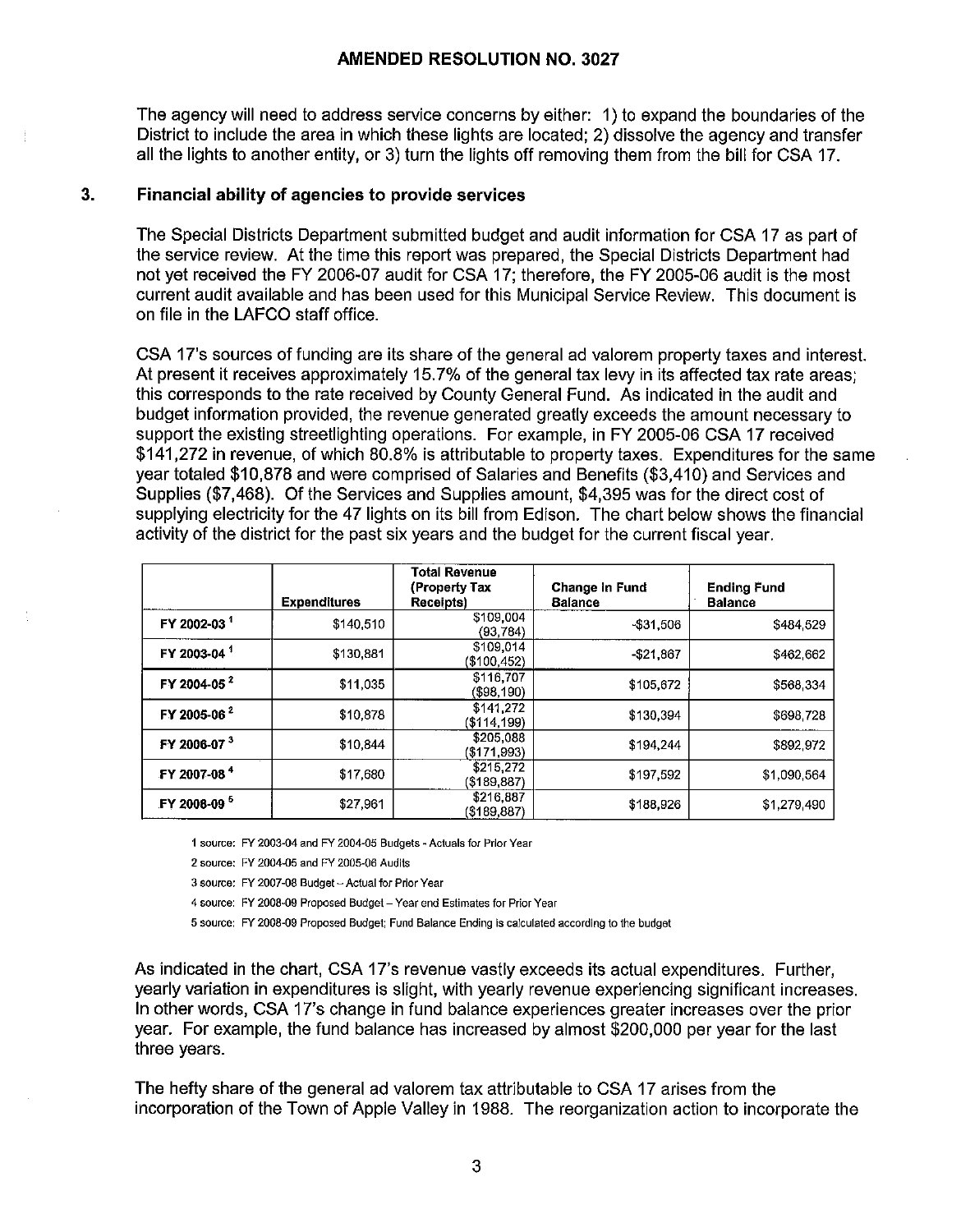The agency will need to address service concerns by either: 1) to expand the boundaries of the District to include the area in which these lights are located; 2) dissolve the agency and transfer all the lights to another entity, or 3) turn the lights off removing them from the bill for CSA 17.

#### **3. Financial ability of agencies to provide services**

The Special Districts Department submitted budget and audit information for CSA 17 as part of the service review. At the time this report was prepared, the Special Districts Department had not yet received the FY 2006-07 audit for CSA 17; therefore, the FY 2005-06 audit is the most current audit available and has been used for this Municipal Service Review. This document is on file in the LAFCO staff office.

CSA 17's sources of funding are its share of the general ad valorem property taxes and interest. At present it receives approximately 15.7% of the general tax levy in its affected tax rate areas; this corresponds to the rate received by County General Fund. As indicated in the audit and budget information provided, the revenue generated greatly exceeds the amount necessary to support the existing streetlighting operations. For example, in FY 2005-06 CSA 17 received \$141,272 in revenue, of which 80.8% is attributable to property taxes. Expenditures for the same year totaled \$10,878 and were comprised of Salaries and Benefits (\$3,410) and Services and Supplies (\$7,468). Of the Services and Supplies amount, \$4,395 was for the direct cost of supplying electricity for the 47 lights on its bill from Edison. The chart below shows the financial activity of the district for the past six years and the budget for the current fiscal year.

|                         | <b>Expenditures</b> | Total Revenue<br>(Property Tax<br><b>Receipts</b> ) | Change in Fund<br><b>Balance</b> | <b>Ending Fund</b><br><b>Balance</b> |
|-------------------------|---------------------|-----------------------------------------------------|----------------------------------|--------------------------------------|
| FY 2002-03              | \$140,510           | \$109,004<br>(93.784)                               | -\$31,506                        | \$484 529                            |
| FY 2003-04 <sup>1</sup> | \$130,881           | \$109,014<br>(\$100,452)                            | $-521.867$                       | \$462,662                            |
| FY 2004-05 <sup>2</sup> | \$11,035            | \$116,707<br>$(\$98,190)$                           | \$105,672                        | \$568 334                            |
| FY 2005-06 <sup>2</sup> | \$10,878            | \$141.272<br>(\$114,199)                            | \$130,394                        | \$698728                             |
| FY 2006-07 <sup>3</sup> | \$10,844            | \$205.088<br>$($ \$171,993)                         | \$194.244                        | \$892 972                            |
| FY 2007-08 <sup>4</sup> | \$17,680            | \$215,272<br>$($ \$189,887)                         | \$197,592                        | \$1,090.564                          |
| FY 2008-09 <sup>5</sup> | \$27,961            | \$216,887<br>( \$189, 887)                          | \$188,926                        | \$1,279.490                          |

1 source: FY 2003-04 and FY 2004-05 Budgets -Actuals for Prior Year

2 source: FY 2004-05 and FY 2005-06 Audits

3 source: FY 2007-08 Budget - Actual for Prior Year

4 source: FY 2008-09 Proposed Budget- Year end Estimates for Prior Year

5 source: FY 2008-09 Proposed Budget; Fund Balance Ending Is calculated according to the budget

As indicated in the chart, CSA 17's revenue vastly exceeds its actual expenditures. Further, yearly variation in expenditures is slight, with yearly revenue experiencing significant increases. In other words, CSA 17's change in fund balance experiences greater increases over the prior year. For example, the fund balance has increased by almost \$200,000 per year for the last three years.

The hefty share of the general ad valorem tax attributable to CSA 17 arises from the incorporation of the Town of Apple Valley in 1988. The reorganization action to incorporate the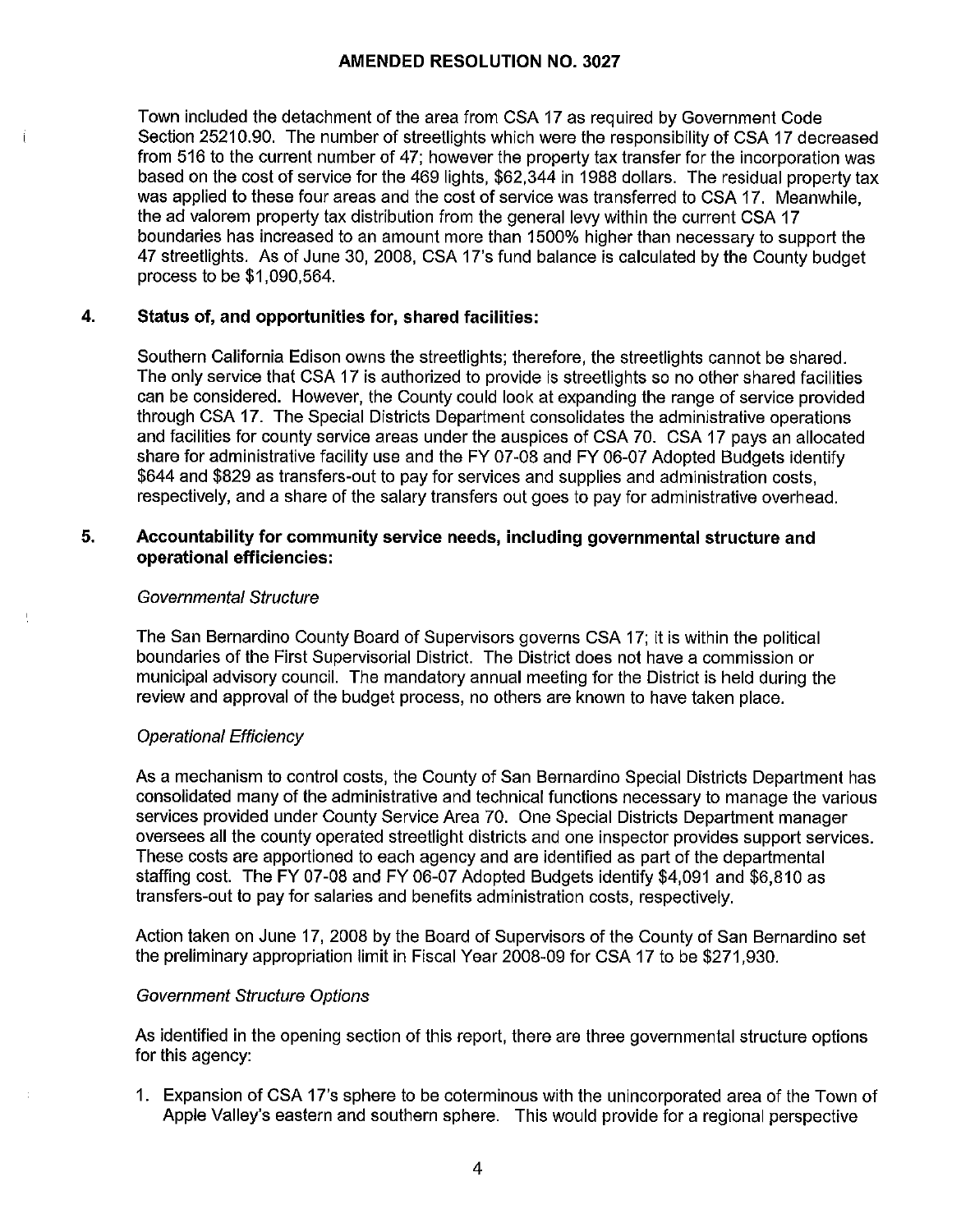Town included the detachment of the area from CSA 17 as required by Government Code Section 25210.90. The number of streetlights which were the responsibility of CSA 17 decreased from 516 to the current number of 47; however the property tax transfer for the incorporation was based on the cost of service for the 469 lights, \$62,344 in 1988 dollars. The residual property tax was applied to these four areas and the cost of service was transferred to CSA 17. Meanwhile, the ad valorem property tax distribution from the general levy within the current CSA 17 boundaries has increased to an amount more than 1500% higher than necessary to support the 47 streetlights. As of June 30, 2008, CSA 17's fund balance is calculated by the County budget process to be \$1,090,564.

#### **4. Status of, and opportunities for, shared facilities:**

Southern California Edison owns the streetlights; therefore, the streetlights cannot be shared. The only service that CSA 17 is authorized to provide is streetlights so no other shared facilities can be considered. However, the County could look at expanding the range of service provided through CSA 17. The Special Districts Department consolidates the administrative operations and facilities for county service areas under the auspices of CSA 70. CSA 17 pays an allocated share for administrative facility use and the FY 07-08 and FY 06-07 Adopted Budgets identify \$644 and \$829 as transfers-out to pay for services and supplies and administration costs, respectively, and a share of the salary transfers out goes to pay for administrative overhead.

#### **5. Accountability for community service needs, including governmental structure and operational efficiencies:**

#### Governmental Structure

The San Bernardino County Board of Supervisors governs CSA 17; it is within the political boundaries of the First Supervisorial District. The District does not have a commission or municipal advisory council. The mandatory annual meeting for the District is held during the review and approval of the budget process, no others are known to have taken place.

## Operational Efficiency

As a mechanism to control costs, the County of San Bernardino Special Districts Department has consolidated many of the administrative and technical functions necessary to manage the various services provided under County Service Area 70. One Special Districts Department manager oversees all the county operated streetlight districts and one inspector provides support services. These costs are apportioned to each agency and are identified as part of the departmental staffing cost. The FY 07-08 and FY 06-07 Adopted Budgets identify \$4,091 and \$6,810 as transfers-out to pay for salaries and benefits administration costs, respectively.

Action taken on June 17, 2008 by the Board of Supervisors of the County of San Bernardino set the preliminary appropriation limit in Fiscal Year 2008-09 for CSA 17 to be \$271,930.

#### Government Structure Options

As identified in the opening section of this report, there are three governmental structure options for this agency:

1. Expansion of CSA 17's sphere to be coterminous with the unincorporated area of the Town of Apple Valley's eastern and southern sphere. This would provide for a regional perspective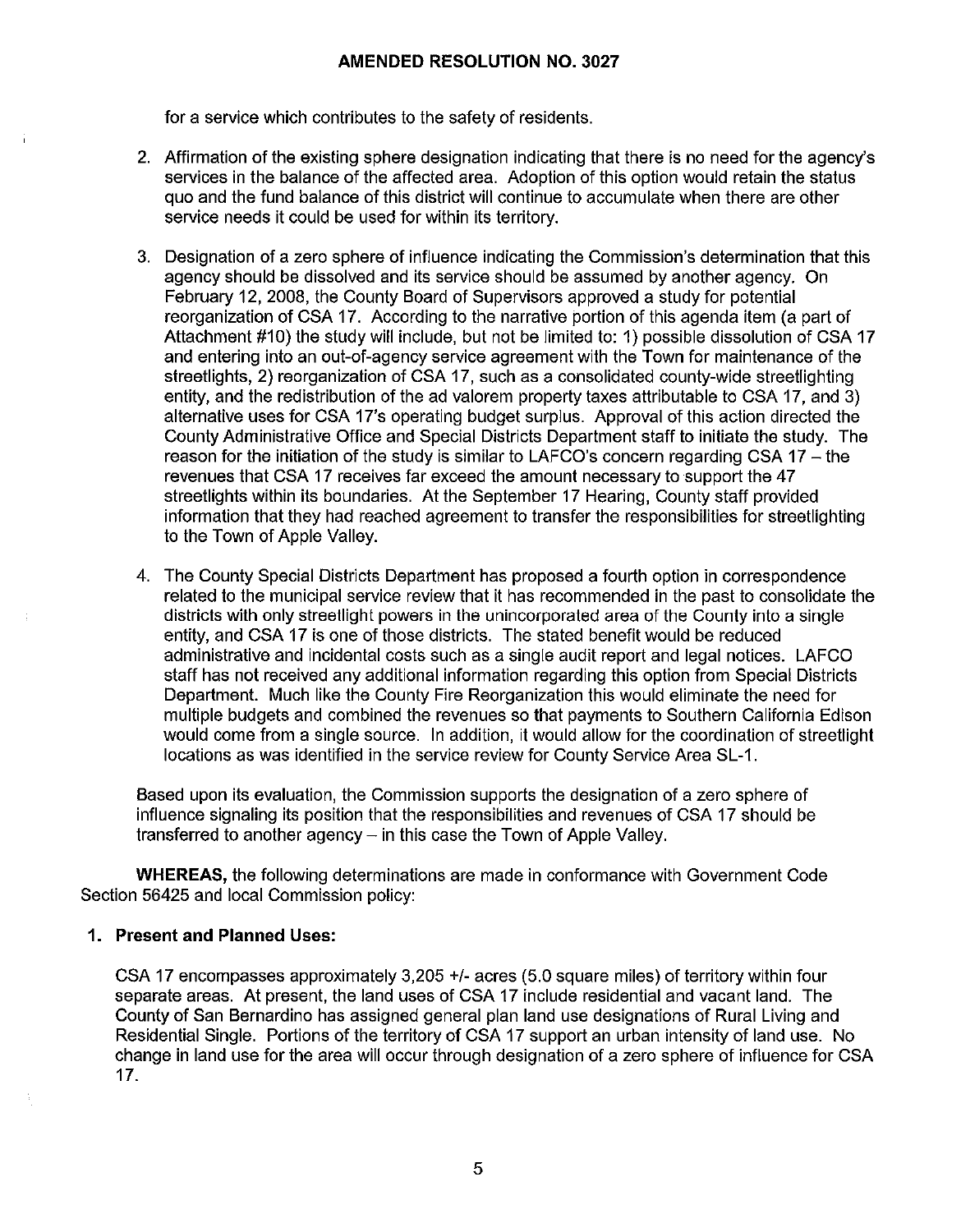for a service which contributes to the safety of residents.

- 2. Affirmation of the existing sphere designation indicating that there is no need for the agency's services in the balance of the affected area. Adoption of this option would retain the status quo and the fund balance of this district will continue to accumulate when there are other service needs it could be used for within its territory.
- 3. Designation of a zero sphere of influence indicating the Commission's determination that this agency should be dissolved and its service should be assumed by another agency. On February 12, 2008, the County Board of Supervisors approved a study for potential reorganization of CSA 17. According to the narrative portion of this agenda item (a part of Attachment #10) the study will include, but not be limited to: 1) possible dissolution of CSA 17 and entering into an out-of-agency service agreement with the Town for maintenance of the streetlights, 2) reorganization of CSA 17, such as a consolidated county-wide streetlighting entity, and the redistribution of the ad valorem property taxes attributable to CSA 17, and 3) alternative uses for CSA 17's operating budget surplus. Approval of this action directed the County Administrative Office and Special Districts Department staff to initiate the study. The reason for the initiation of the study is similar to LAFCO's concern regarding CSA  $17 -$  the revenues that CSA 17 receives far exceed the amount necessary to support the 47 streetlights within its boundaries. At the September 17 Hearing, County staff provided information that they had reached agreement to transfer the responsibilities for streetlighting to the Town of Apple Valley.
- 4. The County Special Districts Department has proposed a fourth option in correspondence related to the municipal service review that it has recommended in the past to consolidate the districts with only streetlight powers in the unincorporated area of the County into a single entity, and CSA 17 is one of those districts. The stated benefit would be reduced administrative and incidental costs such as a single audit report and legal notices. LAFCO staff has not received any additional information regarding this option from Special Districts Department. Much like the County Fire Reorganization this would eliminate the need for multiple budgets and combined the revenues so that payments to Southern California Edison would come from a single source. In addition, it would allow for the coordination of streetlight locations as was identified in the service review for County Service Area SL-1.

Based upon its evaluation, the Commission supports the designation of a zero sphere of influence signaling its position that the responsibilities and revenues of CSA 17 should be transferred to another agency- in this case the Town of Apple Valley.

**WHEREAS,** the following determinations are made in conformance with Government Code Section 56425 and local Commission policy:

#### **1. Present and Planned Uses:**

CSA 17 encompasses approximately 3,205 +/- acres (5.0 square miles) of territory within four separate areas. At present, the land uses of CSA 17 include residential and vacant land. The County of San Bernardino has assigned general plan land use designations of Rural Living and Residential Single. Portions of the territory of CSA 17 support an urban intensity of land use. No change in land use for the area will occur through designation of a zero sphere of influence for CSA 17.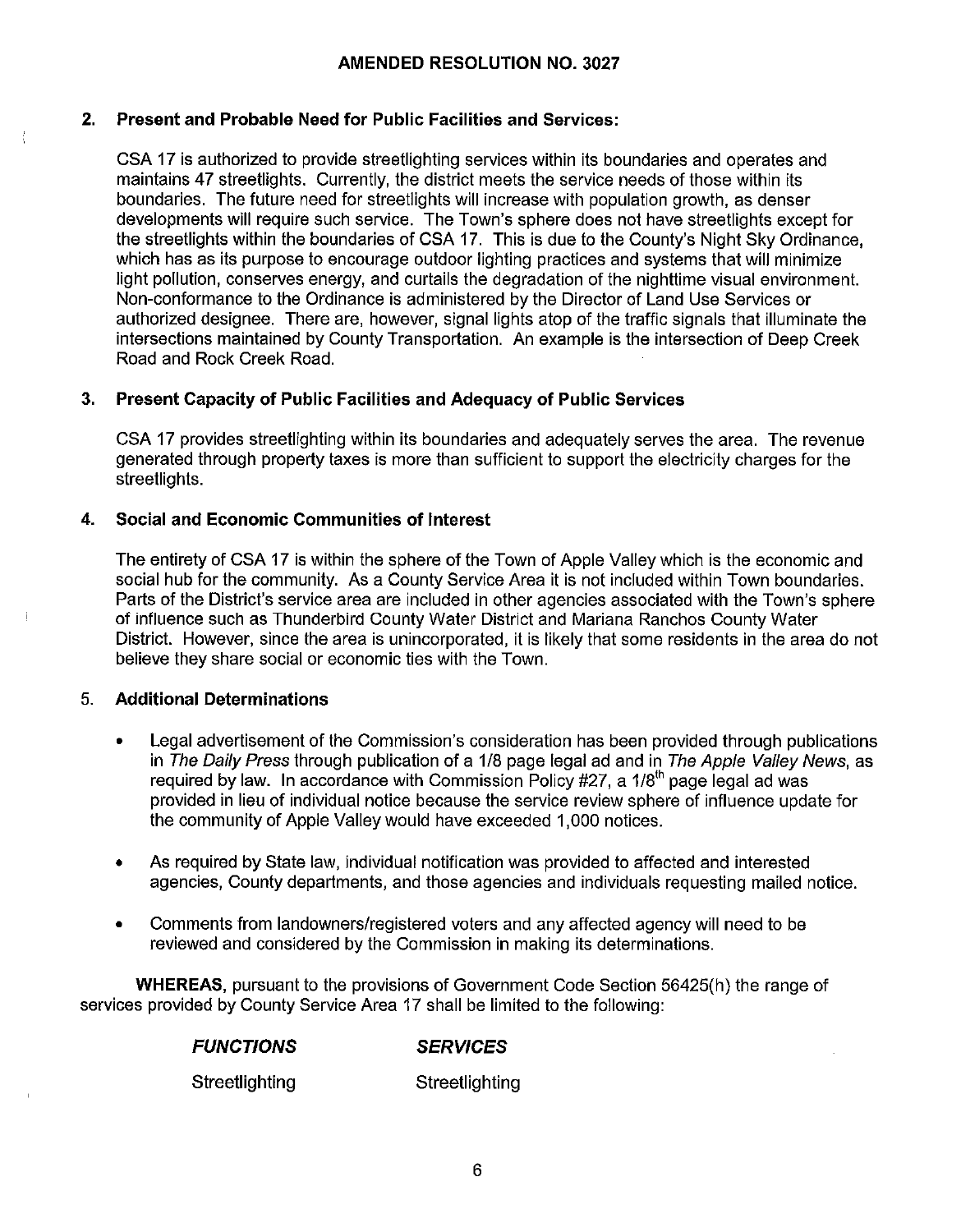## **2. Present and Probable Need for Public Facilities and Services:**

CSA 17 is authorized to provide streetlighting services within its boundaries and operates and maintains 47 streetlights. Currently, the district meets the service needs of those within its boundaries. The future need for streetlights will increase with population growth, as denser developments will require such service. The Town's sphere does not have streetlights except for the streetlights within the boundaries of CSA 17. This is due to the County's Night Sky Ordinance, which has as its purpose to encourage outdoor lighting practices and systems that will minimize light pollution, conserves energy, and curtails the degradation of the nighttime visual environment. Non-conformance to the Ordinance is administered by the Director of Land Use Services or authorized designee. There are, however, signal lights atop of the traffic signals that illuminate the intersections maintained by County Transportation. An example is the intersection of Deep Creek Road and Rock Creek Road.

# **3. Present Capacity of Public Facilities and Adequacy of Public Services**

CSA 17 provides streetlighting within its boundaries and adequately serves the area. The revenue generated through property taxes is more than sufficient to support the electricity charges for the streetlights.

# **4. Social and Economic Communities of Interest**

The entirety of CSA 17 is within the sphere of the Town of Apple Valley which is the economic and social hub for the community. As a County Service Area it is not included within Town boundaries. Parts of the District's service area are included in other agencies associated with the Town's sphere of influence such as Thunderbird County Water District and Mariana Ranchos County Water District. However, since the area is unincorporated, it is likely that some residents in the area do not believe they share social or economic ties with the Town.

## 5. **Additional Determinations**

- Legal advertisement of the Commission's consideration has been provided through publications in The Daily Press through publication of a 1/8 page legal ad and in The Apple Valley News, as required by law. In accordance with Commission Policy  $#27$ , a  $1/8<sup>th</sup>$  page legal ad was provided in lieu of individual notice because the service review sphere of influence update for the community of Apple Valley would have exceeded 1,000 notices.
- As required by State law, individual notification was provided to affected and interested agencies, County departments, and those agencies and individuals requesting mailed notice.
- Comments from landowners/registered voters and any affected agency will need to be reviewed and considered by the Commission in making its determinations.

**WHEREAS,** pursuant to the provisions of Government Code Section 56425(h) the range of services provided by County Service Area 17 shall be limited to the following:

| <b>FUNCTIONS</b> | <b>SERVICES</b> |
|------------------|-----------------|
| Streetlighting   | Streetlighting  |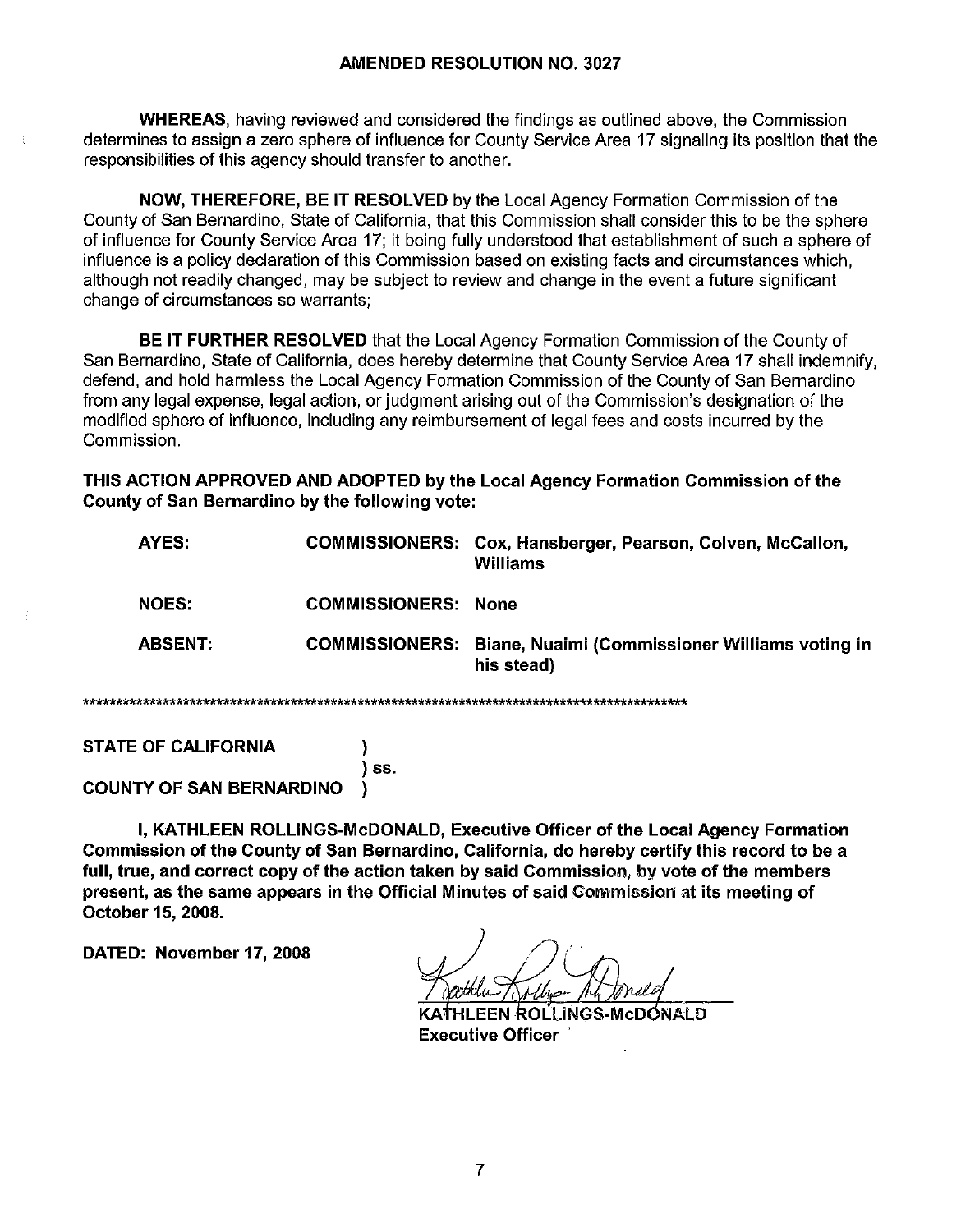**WHEREAS, having reviewed and considered the findings as outlined above, the Commission** determines to assign a zero sphere of influence for County Service Area 17 signaling its position that the responsibilities of this agency should transfer to another.

NOW, THEREFORE, BE IT RESOLVED by the Local Agency Formation Commission of the County of San Bernardino, State of California, that this Commission shall consider this to be the sphere of influence for County Service Area 17; it being fully understood that establishment of such a sphere of influence is a policy declaration of this Commission based on existing facts and circumstances which. although not readily changed, may be subject to review and change in the event a future significant change of circumstances so warrants;

**BE IT FURTHER RESOLVED** that the Local Agency Formation Commission of the County of San Bernardino, State of California, does hereby determine that County Service Area 17 shall indemnify, defend, and hold harmless the Local Agency Formation Commission of the County of San Bernardino from any legal expense, legal action, or judgment arising out of the Commission's designation of the modified sphere of influence, including any reimbursement of legal fees and costs incurred by the Commission.

THIS ACTION APPROVED AND ADOPTED by the Local Agency Formation Commission of the County of San Bernardino by the following vote:

|  | AYES:          |                            | COMMISSIONERS: Cox, Hansberger, Pearson, Colven, McCallon,<br>Williams             |  |  |
|--|----------------|----------------------------|------------------------------------------------------------------------------------|--|--|
|  | <b>NOES:</b>   | <b>COMMISSIONERS: None</b> |                                                                                    |  |  |
|  | <b>ABSENT:</b> |                            | <b>COMMISSIONERS:</b> Biane, Nualmi (Commissioner Williams voting in<br>his stead) |  |  |
|  |                |                            |                                                                                    |  |  |

**STATE OF CALIFORNIA** 

\*\*\*\*\*

) ss. **COUNTY OF SAN BERNARDINO** Δ,

I, KATHLEEN ROLLINGS-McDONALD, Executive Officer of the Local Agency Formation Commission of the County of San Bernardino, California, do hereby certify this record to be a full, true, and correct copy of the action taken by said Commission, by vote of the members present, as the same appears in the Official Minutes of said Commission at its meeting of October 15, 2008.

DATED: November 17, 2008

HLEEN ROLLINGS-McDONALD **Executive Officer**